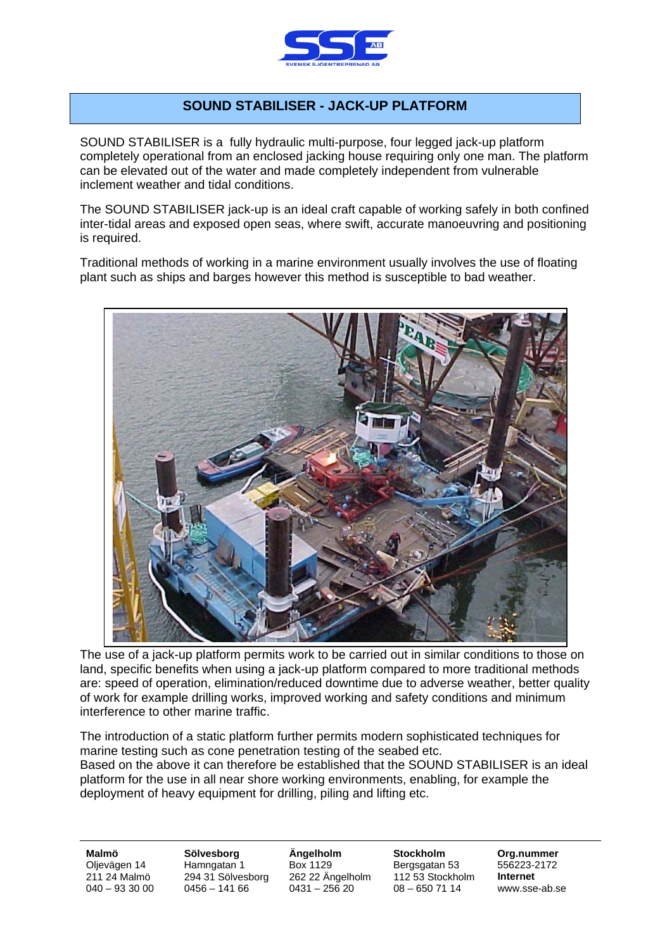

## **SOUND STABILISER - JACK-UP PLATFORM**

SOUND STABILISER is a fully hydraulic multi-purpose, four legged jack-up platform completely operational from an enclosed jacking house requiring only one man. The platform can be elevated out of the water and made completely independent from vulnerable inclement weather and tidal conditions.

The SOUND STABILISER jack-up is an ideal craft capable of working safely in both confined inter-tidal areas and exposed open seas, where swift, accurate manoeuvring and positioning is required.

Traditional methods of working in a marine environment usually involves the use of floating plant such as ships and barges however this method is susceptible to bad weather.



The use of a jack-up platform permits work to be carried out in similar conditions to those on land, specific benefits when using a jack-up platform compared to more traditional methods are: speed of operation, elimination/reduced downtime due to adverse weather, better quality of work for example drilling works, improved working and safety conditions and minimum interference to other marine traffic.

The introduction of a static platform further permits modern sophisticated techniques for marine testing such as cone penetration testing of the seabed etc. Based on the above it can therefore be established that the SOUND STABILISER is an ideal platform for the use in all near shore working environments, enabling, for example the deployment of heavy equipment for drilling, piling and lifting etc.

**Malmö Sölvesborg Ängelholm Stockholm Org.nummer** Oljevägen 14 Hamngatan 1 Box 1129 Bergsgatan 53 556223-2172 211 24 Malmö 294 31 Sölvesborg 262 22 Ängelholm 112 53 Stockholm **Internet**   $040 - 933000$   $0456 - 14166$  0431 –  $25620$  08 – 650 71 14 www.sse-ab.se